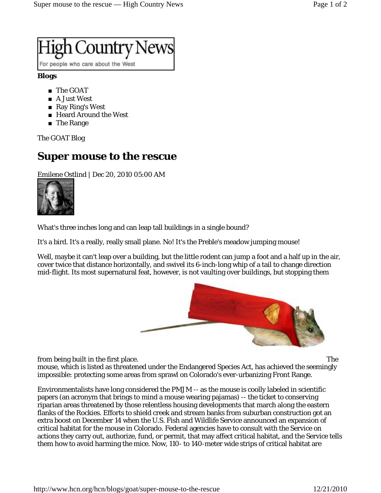## ountry For people who care about the West

## **Blogs**

- The GOAT
- A Just West
- Ray Ring's West
- Heard Around the West
- The Range

The GOAT Blog

## **Super mouse to the rescue**

Emilene Ostlind | Dec 20, 2010 05:00 AM



What's three inches long and can leap tall buildings in a single bound?

It's a bird. It's a really, really small plane. No! It's the Preble's meadow jumping mouse!

Well, maybe it can't leap over a building, but the little rodent can jump a foot and a half up in the air, cover twice that distance horizontally, and swivel its 6-inch-long whip of a tail to change direction mid-flight. Its most supernatural feat, however, is not vaulting over buildings, but stopping them



from being built in the first place. The state of the state of the state of the state of the state of the state of the state of the state of the state of the state of the state of the state of the state of the state of the

mouse, which is listed as threatened under the Endangered Species Act, has achieved the seemingly impossible: protecting some areas from sprawl on Colorado's ever-urbanizing Front Range.

Environmentalists have long considered the PMJM -- as the mouse is coolly labeled in scientific papers (an acronym that brings to mind a mouse wearing pajamas) -- the ticket to conserving riparian areas threatened by those relentless housing developments that march along the eastern flanks of the Rockies. Efforts to shield creek and stream banks from suburban construction got an extra boost on December 14 when the U.S. Fish and Wildlife Service announced an expansion of critical habitat for the mouse in Colorado. Federal agencies have to consult with the Service on actions they carry out, authorize, fund, or permit, that may affect critical habitat, and the Service tells them how to avoid harming the mice. Now, 110- to 140-meter wide strips of critical habitat are